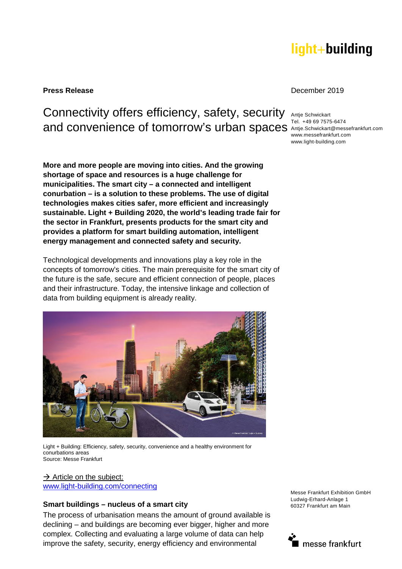# light+building

#### **Press Release** December 2019

Connectivity offers efficiency, safety, security and convenience of tomorrow's urban spaces Antje.Schwickart@messefrankfurt.com

**More and more people are moving into cities. And the growing shortage of space and resources is a huge challenge for municipalities. The smart city – a connected and intelligent conurbation – is a solution to these problems. The use of digital technologies makes cities safer, more efficient and increasingly sustainable. Light + Building 2020, the world's leading trade fair for the sector in Frankfurt, presents products for the smart city and provides a platform for smart building automation, intelligent energy management and connected safety and security.** 

Technological developments and innovations play a key role in the concepts of tomorrow's cities. The main prerequisite for the smart city of the future is the safe, secure and efficient connection of people, places and their infrastructure. Today, the intensive linkage and collection of data from building equipment is already reality.



Light + Building: Efficiency, safety, security, convenience and a healthy environment for conurbations areas Source: Messe Frankfurt

 $\rightarrow$  Article on the subject: [www.light-building.com/connecting](http://www.light-building.com/connecting) 

#### **Smart buildings – nucleus of a smart city**

The process of urbanisation means the amount of ground available is declining – and buildings are becoming ever bigger, higher and more complex. Collecting and evaluating a large volume of data can help improve the safety, security, energy efficiency and environmental

Messe Frankfurt Exhibition GmbH Ludwig-Erhard-Anlage 1 60327 Frankfurt am Main



Antje Schwickart Tel. +49 69 7575-6474 www.messefrankfurt.com www.light-building.com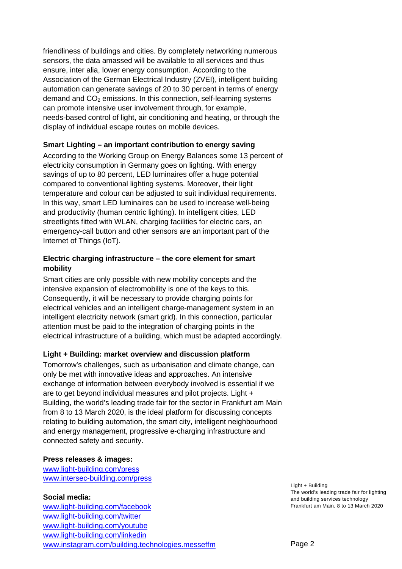friendliness of buildings and cities. By completely networking numerous sensors, the data amassed will be available to all services and thus ensure, inter alia, lower energy consumption. According to the Association of the German Electrical Industry (ZVEI), intelligent building automation can generate savings of 20 to 30 percent in terms of energy demand and  $CO<sub>2</sub>$  emissions. In this connection, self-learning systems can promote intensive user involvement through, for example, needs-based control of light, air conditioning and heating, or through the display of individual escape routes on mobile devices.

## **Smart Lighting – an important contribution to energy saving**

According to the Working Group on Energy Balances some 13 percent of electricity consumption in Germany goes on lighting. With energy savings of up to 80 percent, LED luminaires offer a huge potential compared to conventional lighting systems. Moreover, their light temperature and colour can be adjusted to suit individual requirements. In this way, smart LED luminaires can be used to increase well-being and productivity (human centric lighting). In intelligent cities, LED streetlights fitted with WLAN, charging facilities for electric cars, an emergency-call button and other sensors are an important part of the Internet of Things (IoT).

#### **Electric charging infrastructure – the core element for smart mobility**

Smart cities are only possible with new mobility concepts and the intensive expansion of electromobility is one of the keys to this. Consequently, it will be necessary to provide charging points for electrical vehicles and an intelligent charge-management system in an intelligent electricity network (smart grid). In this connection, particular attention must be paid to the integration of charging points in the electrical infrastructure of a building, which must be adapted accordingly.

## **Light + Building: market overview and discussion platform**

Tomorrow's challenges, such as urbanisation and climate change, can only be met with innovative ideas and approaches. An intensive exchange of information between everybody involved is essential if we are to get beyond individual measures and pilot projects. Light + Building, the world's leading trade fair for the sector in Frankfurt am Main from 8 to 13 March 2020, is the ideal platform for discussing concepts relating to building automation, the smart city, intelligent neighbourhood and energy management, progressive e-charging infrastructure and connected safety and security.

#### **Press releases & images:**

[www.light-building.com/press](http://www.light-building.com/presse) [www.intersec-building.com/press](http://www.intersec-building.com/press)

#### **Social media:**

[www.light-building.com/facebook](http://www.light-building.com/facebook) [www.light-building.com/twitter](http://www.light-building.com/twitter) [www.light-building.com/youtube](http://www.light-building.com/youtube) [www.light-building.com/linkedin](http://www.light-building.com/linkedin)  [www.instagram.com/building.technologies.messeffm](http://www.instagram.com/building.technologies.messeffm) Light + Building The world's leading trade fair for lighting and building services technology Frankfurt am Main, 8 to 13 March 2020